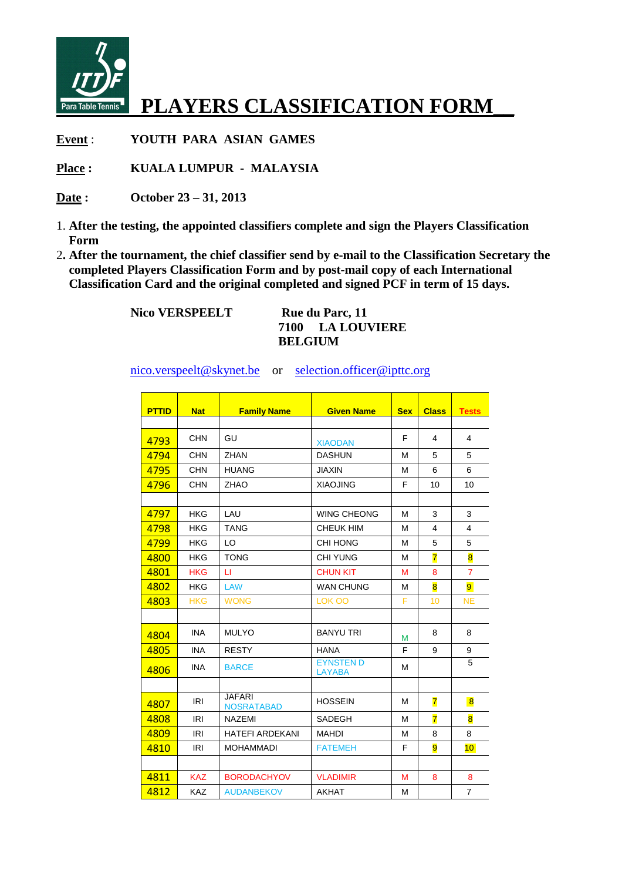

## **PLAYERS CLASSIFICATION FORM\_\_**

**Event** : **YOUTH PARA ASIAN GAMES** 

**Place : KUALA LUMPUR - MALAYSIA** 

- **Date : October 23 31, 2013**
- 1. **After the testing, the appointed classifiers complete and sign the Players Classification Form**
- **. After the tournament, the chief classifier send by e-mail to the Classification Secretary the completed Players Classification Form and by post-mail copy of each International Classification Card and the original completed and signed PCF in term of 15 days.**

Nico VERSPEELT Rue du Parc, 11

 **LA LOUVIERE BELGIUM** 

nico.verspeelt@skynet.be or selection.officer@ipttc.org

| <b>PTTID</b> | <b>Nat</b> | <b>Family Name</b>                 | <b>Given Name</b>                 | <b>Sex</b> | <b>Class</b>            | <b>Tests</b>            |
|--------------|------------|------------------------------------|-----------------------------------|------------|-------------------------|-------------------------|
|              |            |                                    |                                   |            |                         |                         |
| 4793         | <b>CHN</b> | GU                                 | <b>XIAODAN</b>                    | F          | 4                       | 4                       |
| 4794         | <b>CHN</b> | <b>ZHAN</b>                        | <b>DASHUN</b>                     | м          | 5                       | 5                       |
| 4795         | <b>CHN</b> | <b>HUANG</b>                       | <b>JIAXIN</b>                     | м          | 6                       | 6                       |
| 4796         | <b>CHN</b> | <b>ZHAO</b>                        | <b>XIAOJING</b>                   | F          | 10                      | 10                      |
|              |            |                                    |                                   |            |                         |                         |
| 4797         | <b>HKG</b> | LAU                                | <b>WING CHEONG</b>                | м          | 3                       | 3                       |
| 4798         | <b>HKG</b> | <b>TANG</b>                        | <b>CHEUK HIM</b>                  | M          | $\overline{4}$          | 4                       |
| 4799         | <b>HKG</b> | LO                                 | CHI HONG                          | M          | 5                       | 5                       |
| 4800         | <b>HKG</b> | <b>TONG</b>                        | <b>CHI YUNG</b>                   | M          | $\overline{7}$          | 8                       |
| 4801         | <b>HKG</b> | П                                  | <b>CHUN KIT</b>                   | M          | 8                       | $\overline{7}$          |
| 4802         | <b>HKG</b> | <b>LAW</b>                         | <b>WAN CHUNG</b>                  | М          | 8                       | $\overline{9}$          |
| 4803         | <b>HKG</b> | <b>WONG</b>                        | LOK OO                            | F          | 10                      | <b>NE</b>               |
|              |            |                                    |                                   |            |                         |                         |
| 4804         | <b>INA</b> | <b>MULYO</b>                       | <b>BANYU TRI</b>                  | М          | 8                       | 8                       |
| 4805         | <b>INA</b> | <b>RESTY</b>                       | <b>HANA</b>                       | F          | 9                       | 9                       |
| 4806         | <b>INA</b> | <b>BARCE</b>                       | <b>EYNSTEN D</b><br><b>LAYABA</b> | м          |                         | 5                       |
|              |            |                                    |                                   |            |                         |                         |
| 4807         | IRI        | <b>JAFARI</b><br><b>NOSRATABAD</b> | <b>HOSSEIN</b>                    | M          | $\overline{\mathbf{z}}$ | $\overline{\mathbf{8}}$ |
| 4808         | <b>IRI</b> | <b>NAZEMI</b>                      | <b>SADEGH</b>                     | M          | $\overline{7}$          | 8                       |
| 4809         | <b>IRI</b> | <b>HATEFI ARDEKANI</b>             | <b>MAHDI</b>                      | M          | 8                       | 8                       |
| 4810         | IRI        | <b>MOHAMMADI</b>                   | <b>FATEMEH</b>                    | F          | 9                       | 10 <sub>1</sub>         |
|              |            |                                    |                                   |            |                         |                         |
| 4811         | <b>KAZ</b> | <b>BORODACHYOV</b>                 | <b>VLADIMIR</b>                   | M          | 8                       | 8                       |
| 4812         | <b>KAZ</b> | <b>AUDANBEKOV</b>                  | <b>AKHAT</b>                      | М          |                         | $\overline{7}$          |